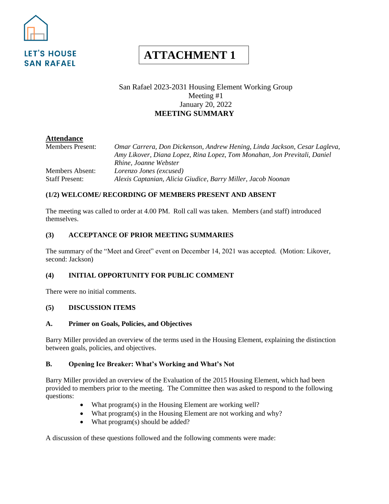

# **ATTACHMENT 1**

# San Rafael 2023-2031 Housing Element Working Group Meeting #1 January 20, 2022 **MEETING SUMMARY**

# **Attendance**

Members Present: *Omar Carrera, Don Dickenson, Andrew Hening, Linda Jackson, Cesar Lagleva, Amy Likover, Diana Lopez, Rina Lopez, Tom Monahan, Jon Previtali, Daniel Rhine, Joanne Webster* Members Absent: *Lorenzo Jones (excused)* Staff Present: *Alexis Captanian, Alicia Giudice, Barry Miller, Jacob Noonan*

## **(1/2) WELCOME/ RECORDING OF MEMBERS PRESENT AND ABSENT**

The meeting was called to order at 4.00 PM. Roll call was taken. Members (and staff) introduced themselves.

## **(3) ACCEPTANCE OF PRIOR MEETING SUMMARIES**

The summary of the "Meet and Greet" event on December 14, 2021 was accepted. (Motion: Likover, second: Jackson)

## **(4) INITIAL OPPORTUNITY FOR PUBLIC COMMENT**

There were no initial comments.

## **(5) DISCUSSION ITEMS**

#### **A. Primer on Goals, Policies, and Objectives**

Barry Miller provided an overview of the terms used in the Housing Element, explaining the distinction between goals, policies, and objectives.

## **B. Opening Ice Breaker: What's Working and What's Not**

Barry Miller provided an overview of the Evaluation of the 2015 Housing Element, which had been provided to members prior to the meeting. The Committee then was asked to respond to the following questions:

- What program(s) in the Housing Element are working well?
- What program(s) in the Housing Element are not working and why?
- What program(s) should be added?

A discussion of these questions followed and the following comments were made: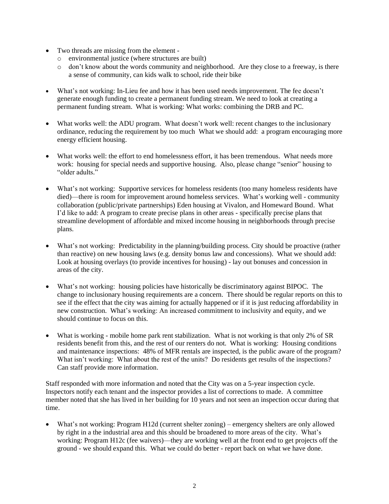- Two threads are missing from the element
	- o environmental justice (where structures are built)
	- o don't know about the words community and neighborhood. Are they close to a freeway, is there a sense of community, can kids walk to school, ride their bike
- What's not working: In-Lieu fee and how it has been used needs improvement. The fee doesn't generate enough funding to create a permanent funding stream. We need to look at creating a permanent funding stream. What is working: What works: combining the DRB and PC.
- What works well: the ADU program. What doesn't work well: recent changes to the inclusionary ordinance, reducing the requirement by too much What we should add: a program encouraging more energy efficient housing.
- What works well: the effort to end homelessness effort, it has been tremendous. What needs more work: housing for special needs and supportive housing. Also, please change "senior" housing to "older adults."
- What's not working: Supportive services for homeless residents (too many homeless residents have died)—there is room for improvement around homeless services. What's working well - community collaboration (public/private partnerships) Eden housing at Vivalon, and Homeward Bound. What I'd like to add: A program to create precise plans in other areas - specifically precise plans that streamline development of affordable and mixed income housing in neighborhoods through precise plans.
- What's not working: Predictability in the planning/building process. City should be proactive (rather than reactive) on new housing laws (e.g. density bonus law and concessions). What we should add: Look at housing overlays (to provide incentives for housing) - lay out bonuses and concession in areas of the city.
- What's not working: housing policies have historically be discriminatory against BIPOC. The change to inclusionary housing requirements are a concern. There should be regular reports on this to see if the effect that the city was aiming for actually happened or if it is just reducing affordability in new construction. What's working: An increased commitment to inclusivity and equity, and we should continue to focus on this.
- What is working mobile home park rent stabilization. What is not working is that only 2% of SR residents benefit from this, and the rest of our renters do not. What is working: Housing conditions and maintenance inspections: 48% of MFR rentals are inspected, is the public aware of the program? What isn't working: What about the rest of the units? Do residents get results of the inspections? Can staff provide more information.

Staff responded with more information and noted that the City was on a 5-year inspection cycle. Inspectors notify each tenant and the inspector provides a list of corrections to made. A committee member noted that she has lived in her building for 10 years and not seen an inspection occur during that time.

• What's not working: Program H12d (current shelter zoning) – emergency shelters are only allowed by right in a the industrial area and this should be broadened to more areas of the city. What's working: Program H12c (fee waivers)—they are working well at the front end to get projects off the ground - we should expand this. What we could do better - report back on what we have done.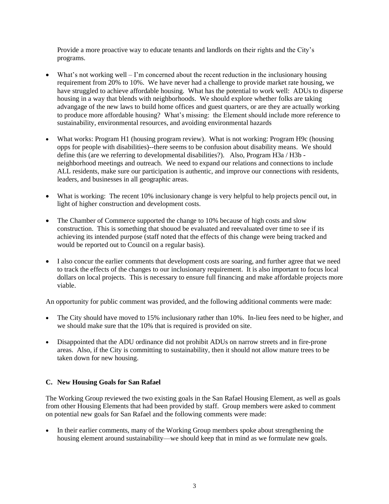Provide a more proactive way to educate tenants and landlords on their rights and the City's programs.

- What's not working well  $-I$ 'm concerned about the recent reduction in the inclusionary housing requirement from 20% to 10%. We have never had a challenge to provide market rate housing, we have struggled to achieve affordable housing. What has the potential to work well: ADUs to disperse housing in a way that blends with neighborhoods. We should explore whether folks are taking advangage of the new laws to build home offices and guest quarters, or are they are actually working to produce more affordable housing? What's missing: the Element should include more reference to sustainability, environmental resources, and avoiding environmental hazards
- What works: Program H1 (housing program review). What is not working: Program H9c (housing opps for people with disabilities)--there seems to be confusion about disability means. We should define this (are we referring to developmental disabilities?). Also, Program H3a / H3b neighborhood meetings and outreach. We need to expand our relations and connections to include ALL residents, make sure our participation is authentic, and improve our connections with residents, leaders, and businesses in all geographic areas.
- What is working: The recent 10% inclusionary change is very helpful to help projects pencil out, in light of higher construction and development costs.
- The Chamber of Commerce supported the change to 10% because of high costs and slow construction. This is something that shouod be evaluated and reevaluated over time to see if its achieving its intended purpose (staff noted that the effects of this change were being tracked and would be reported out to Council on a regular basis).
- I also concur the earlier comments that development costs are soaring, and further agree that we need to track the effects of the changes to our inclusionary requirement. It is also important to focus local dollars on local projects. This is necessary to ensure full financing and make affordable projects more viable.

An opportunity for public comment was provided, and the following additional comments were made:

- The City should have moved to 15% inclusionary rather than 10%. In-lieu fees need to be higher, and we should make sure that the 10% that is required is provided on site.
- Disappointed that the ADU ordinance did not prohibit ADUs on narrow streets and in fire-prone areas. Also, if the City is committing to sustainability, then it should not allow mature trees to be taken down for new housing.

## **C. New Housing Goals for San Rafael**

The Working Group reviewed the two existing goals in the San Rafael Housing Element, as well as goals from other Housing Elements that had been provided by staff. Group members were asked to comment on potential new goals for San Rafael and the following comments were made:

• In their earlier comments, many of the Working Group members spoke about strengthening the housing element around sustainability—we should keep that in mind as we formulate new goals.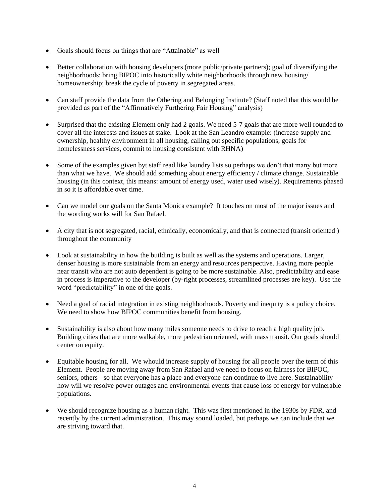- Goals should focus on things that are "Attainable" as well
- Better collaboration with housing developers (more public/private partners); goal of diversifying the neighborhoods: bring BIPOC into historically white neighborhoods through new housing/ homeownership; break the cycle of poverty in segregated areas.
- Can staff provide the data from the Othering and Belonging Institute? (Staff noted that this would be provided as part of the "Affirmatively Furthering Fair Housing" analysis)
- Surprised that the existing Element only had 2 goals. We need 5-7 goals that are more well rounded to cover all the interests and issues at stake. Look at the San Leandro example: (increase supply and ownership, healthy environment in all housing, calling out specific populations, goals for homelessness services, commit to housing consistent with RHNA)
- Some of the examples given byt staff read like laundry lists so perhaps we don't that many but more than what we have. We should add something about energy efficiency / climate change. Sustainable housing (in this context, this means: amount of energy used, water used wisely). Requirements phased in so it is affordable over time.
- Can we model our goals on the Santa Monica example? It touches on most of the major issues and the wording works will for San Rafael.
- A city that is not segregated, racial, ethnically, economically, and that is connected (transit oriented ) throughout the community
- Look at sustainability in how the building is built as well as the systems and operations. Larger, denser housing is more sustainable from an energy and resources perspective. Having more people near transit who are not auto dependent is going to be more sustainable. Also, predictability and ease in process is imperative to the developer (by-right processes, streamlined processes are key). Use the word "predictability" in one of the goals.
- Need a goal of racial integration in existing neighborhoods. Poverty and inequity is a policy choice. We need to show how BIPOC communities benefit from housing.
- Sustainability is also about how many miles someone needs to drive to reach a high quality job. Building cities that are more walkable, more pedestrian oriented, with mass transit. Our goals should center on equity.
- Equitable housing for all. We whould increase supply of housing for all people over the term of this Element. People are moving away from San Rafael and we need to focus on fairness for BIPOC, seniors, others - so that everyone has a place and everyone can continue to live here. Sustainability how will we resolve power outages and environmental events that cause loss of energy for vulnerable populations.
- We should recognize housing as a human right. This was first mentioned in the 1930s by FDR, and recently by the current administration. This may sound loaded, but perhaps we can include that we are striving toward that.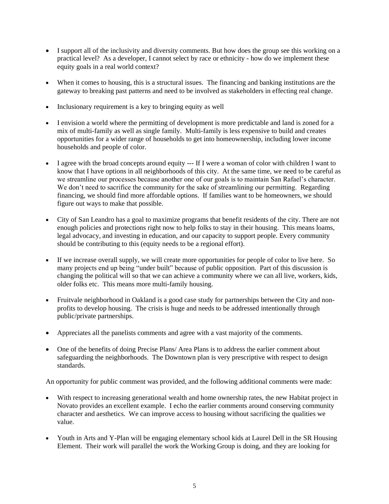- I support all of the inclusivity and diversity comments. But how does the group see this working on a practical level? As a developer, I cannot select by race or ethnicity - how do we implement these equity goals in a real world context?
- When it comes to housing, this is a structural issues. The financing and banking institutions are the gateway to breaking past patterns and need to be involved as stakeholders in effecting real change.
- Inclusionary requirement is a key to bringing equity as well
- I envision a world where the permitting of development is more predictable and land is zoned for a mix of multi-family as well as single family. Multi-family is less expensive to build and creates opportunities for a wider range of households to get into homeownership, including lower income households and people of color.
- I agree with the broad concepts around equity --- If I were a woman of color with children I want to know that I have options in all neighborhoods of this city. At the same time, we need to be careful as we streamline our processes because another one of our goals is to maintain San Rafael's character. We don't need to sacrifice the community for the sake of streamlining our permitting. Regarding financing, we should find more affordable options. If families want to be homeowners, we should figure out ways to make that possible.
- City of San Leandro has a goal to maximize programs that benefit residents of the city. There are not enough policies and protections right now to help folks to stay in their housing. This means loams, legal advocacy, and investing in education, and our capacity to support people. Every community should be contributing to this (equity needs to be a regional effort).
- If we increase overall supply, we will create more opportunities for people of color to live here. So many projects end up being "under built" because of public opposition. Part of this discussion is changing the political will so that we can achieve a community where we can all live, workers, kids, older folks etc. This means more multi-family housing.
- Fruitvale neighborhood in Oakland is a good case study for partnerships between the City and nonprofits to develop housing. The crisis is huge and needs to be addressed intentionally through public/private partnerships.
- Appreciates all the panelists comments and agree with a vast majority of the comments.
- One of the benefits of doing Precise Plans/ Area Plans is to address the earlier comment about safeguarding the neighborhoods. The Downtown plan is very prescriptive with respect to design standards.

An opportunity for public comment was provided, and the following additional comments were made:

- With respect to increasing generational wealth and home ownership rates, the new Habitat project in Novato provides an excellent example. I echo the earlier comments around conserving community character and aesthetics. We can improve access to housing without sacrificing the qualities we value.
- Youth in Arts and Y-Plan will be engaging elementary school kids at Laurel Dell in the SR Housing Element. Their work will parallel the work the Working Group is doing, and they are looking for